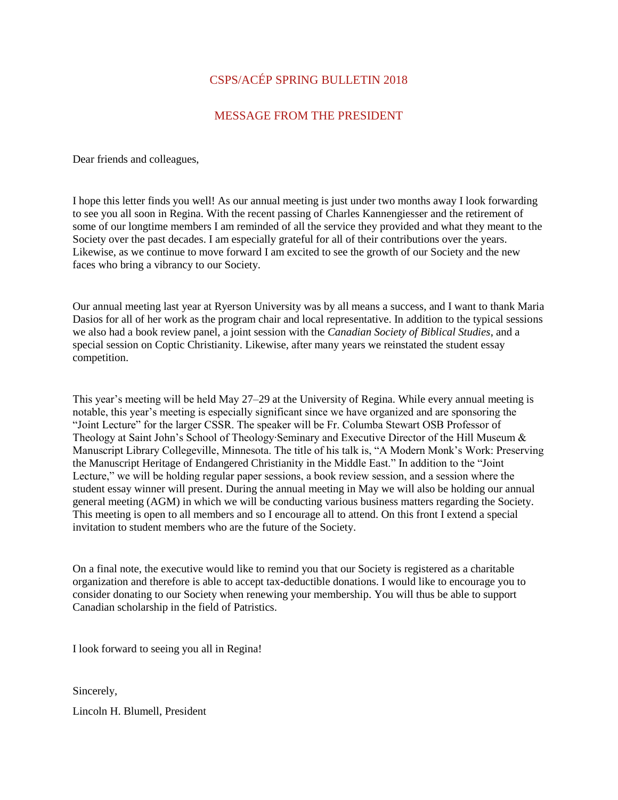## CSPS/ACÉP SPRING BULLETIN 2018

## MESSAGE FROM THE PRESIDENT

Dear friends and colleagues,

I hope this letter finds you well! As our annual meeting is just under two months away I look forwarding to see you all soon in Regina. With the recent passing of Charles Kannengiesser and the retirement of some of our longtime members I am reminded of all the service they provided and what they meant to the Society over the past decades. I am especially grateful for all of their contributions over the years. Likewise, as we continue to move forward I am excited to see the growth of our Society and the new faces who bring a vibrancy to our Society.

Our annual meeting last year at Ryerson University was by all means a success, and I want to thank Maria Dasios for all of her work as the program chair and local representative. In addition to the typical sessions we also had a book review panel, a joint session with the *Canadian Society of Biblical Studies*, and a special session on Coptic Christianity. Likewise, after many years we reinstated the student essay competition.

This year's meeting will be held May 27–29 at the University of Regina. While every annual meeting is notable, this year's meeting is especially significant since we have organized and are sponsoring the "Joint Lecture" for the larger CSSR. The speaker will be Fr. Columba Stewart OSB Professor of Theology at Saint John's School of Theology∙Seminary and Executive Director of the Hill Museum & Manuscript Library Collegeville, Minnesota. The title of his talk is, "A Modern Monk's Work: Preserving the Manuscript Heritage of Endangered Christianity in the Middle East." In addition to the "Joint Lecture," we will be holding regular paper sessions, a book review session, and a session where the student essay winner will present. During the annual meeting in May we will also be holding our annual general meeting (AGM) in which we will be conducting various business matters regarding the Society. This meeting is open to all members and so I encourage all to attend. On this front I extend a special invitation to student members who are the future of the Society.

On a final note, the executive would like to remind you that our Society is registered as a charitable organization and therefore is able to accept tax-deductible donations. I would like to encourage you to consider donating to our Society when renewing your membership. You will thus be able to support Canadian scholarship in the field of Patristics.

I look forward to seeing you all in Regina!

Sincerely,

Lincoln H. Blumell, President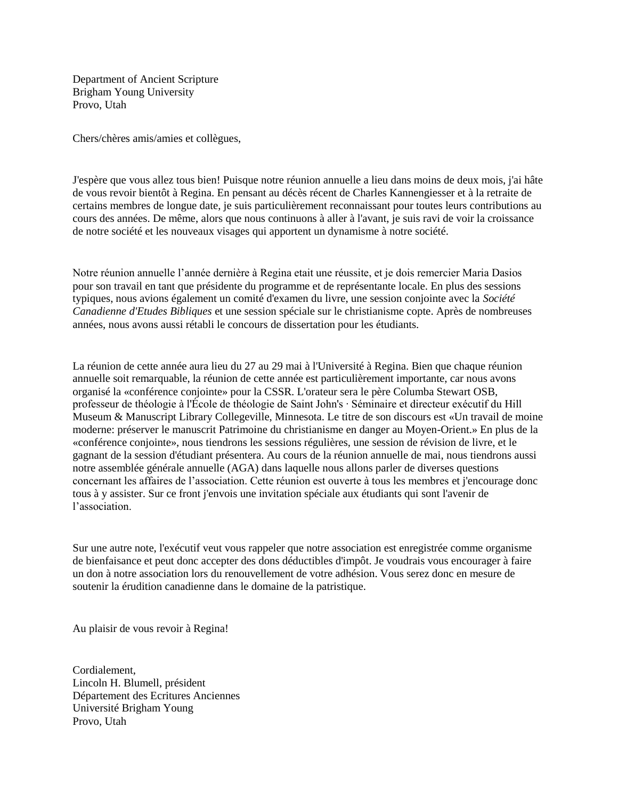Department of Ancient Scripture Brigham Young University Provo, Utah

Chers/chères amis/amies et collègues,

J'espère que vous allez tous bien! Puisque notre réunion annuelle a lieu dans moins de deux mois, j'ai hâte de vous revoir bientôt à Regina. En pensant au décès récent de Charles Kannengiesser et à la retraite de certains membres de longue date, je suis particulièrement reconnaissant pour toutes leurs contributions au cours des années. De même, alors que nous continuons à aller à l'avant, je suis ravi de voir la croissance de notre société et les nouveaux visages qui apportent un dynamisme à notre société.

Notre réunion annuelle l'année dernière à Regina etait une réussite, et je dois remercier Maria Dasios pour son travail en tant que présidente du programme et de représentante locale. En plus des sessions typiques, nous avions également un comité d'examen du livre, une session conjointe avec la *Société Canadienne d'Etudes Bibliques* et une session spéciale sur le christianisme copte. Après de nombreuses années, nous avons aussi rétabli le concours de dissertation pour les étudiants.

La réunion de cette année aura lieu du 27 au 29 mai à l'Université à Regina. Bien que chaque réunion annuelle soit remarquable, la réunion de cette année est particulièrement importante, car nous avons organisé la «conférence conjointe» pour la CSSR. L'orateur sera le père Columba Stewart OSB, professeur de théologie à l'École de théologie de Saint John's ∙ Séminaire et directeur exécutif du Hill Museum & Manuscript Library Collegeville, Minnesota. Le titre de son discours est «Un travail de moine moderne: préserver le manuscrit Patrimoine du christianisme en danger au Moyen-Orient.» En plus de la «conférence conjointe», nous tiendrons les sessions régulières, une session de révision de livre, et le gagnant de la session d'étudiant présentera. Au cours de la réunion annuelle de mai, nous tiendrons aussi notre assemblée générale annuelle (AGA) dans laquelle nous allons parler de diverses questions concernant les affaires de l'association. Cette réunion est ouverte à tous les membres et j'encourage donc tous à y assister. Sur ce front j'envois une invitation spéciale aux étudiants qui sont l'avenir de l'association.

Sur une autre note, l'exécutif veut vous rappeler que notre association est enregistrée comme organisme de bienfaisance et peut donc accepter des dons déductibles d'impôt. Je voudrais vous encourager à faire un don à notre association lors du renouvellement de votre adhésion. Vous serez donc en mesure de soutenir la érudition canadienne dans le domaine de la patristique.

Au plaisir de vous revoir à Regina!

Cordialement, Lincoln H. Blumell, président Département des Ecritures Anciennes Université Brigham Young Provo, Utah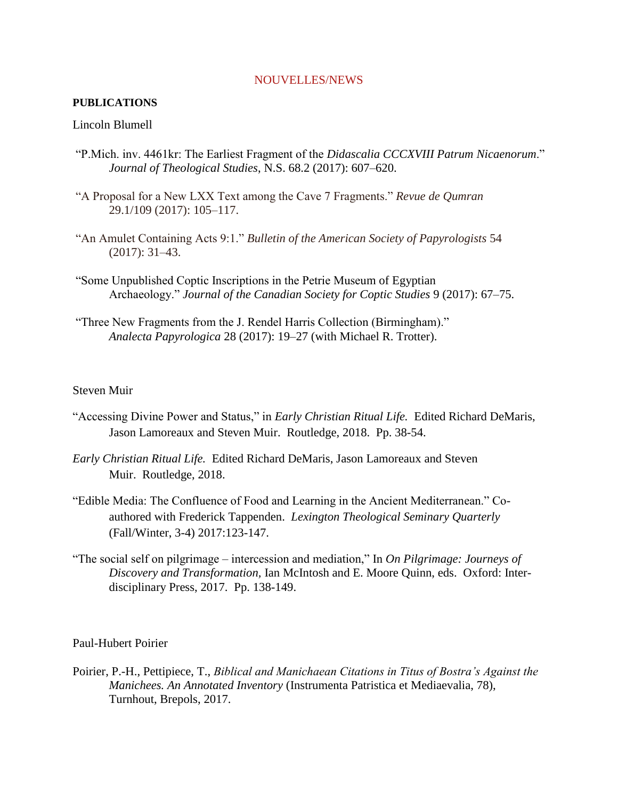#### NOUVELLES/NEWS

### **PUBLICATIONS**

### Lincoln Blumell

- "P.Mich. inv. 4461kr: The Earliest Fragment of the *Didascalia CCCXVIII Patrum Nicaenorum*." *Journal of Theological Studies*, N.S. 68.2 (2017): 607–620.
- "A Proposal for a New LXX Text among the Cave 7 Fragments." *Revue de Qumran* 29.1/109 (2017): 105–117.
- "An Amulet Containing Acts 9:1." *Bulletin of the American Society of Papyrologists* 54 (2017): 31–43.
- "Some Unpublished Coptic Inscriptions in the Petrie Museum of Egyptian Archaeology." *Journal of the Canadian Society for Coptic Studies* 9 (2017): 67–75.
- "Three New Fragments from the J. Rendel Harris Collection (Birmingham)." *Analecta Papyrologica* 28 (2017): 19–27 (with Michael R. Trotter).

### Steven Muir

- "Accessing Divine Power and Status," in *Early Christian Ritual Life.* Edited Richard DeMaris, Jason Lamoreaux and Steven Muir. Routledge, 2018. Pp. 38-54.
- *Early Christian Ritual Life.* Edited Richard DeMaris, Jason Lamoreaux and Steven Muir. Routledge, 2018.
- "Edible Media: The Confluence of Food and Learning in the Ancient Mediterranean." Coauthored with Frederick Tappenden. *Lexington Theological Seminary Quarterly* (Fall/Winter, 3-4) 2017:123-147.
- "The social self on pilgrimage intercession and mediation," In *On Pilgrimage: Journeys of Discovery and Transformation,* Ian McIntosh and E. Moore Quinn, eds. Oxford: Interdisciplinary Press, 2017. Pp. 138-149.

#### Paul-Hubert Poirier

Poirier, P.-H., Pettipiece, T., *Biblical and Manichaean Citations in Titus of Bostra's Against the Manichees. An Annotated Inventory* (Instrumenta Patristica et Mediaevalia, 78), Turnhout, Brepols, 2017.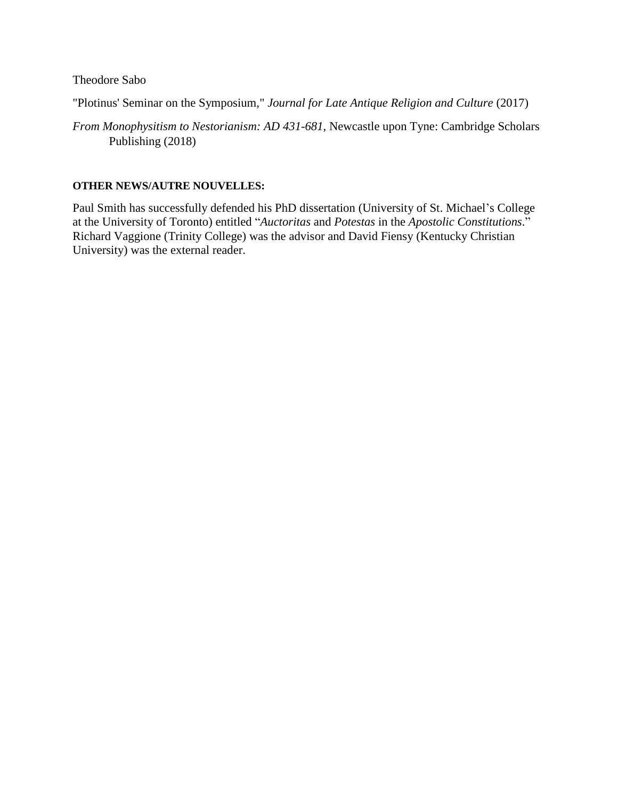Theodore Sabo

"Plotinus' Seminar on the Symposium," *Journal for Late Antique Religion and Culture* (2017)

*From Monophysitism to Nestorianism: AD 431-681*, Newcastle upon Tyne: Cambridge Scholars Publishing (2018)

## **OTHER NEWS/AUTRE NOUVELLES:**

Paul Smith has successfully defended his PhD dissertation (University of St. Michael's College at the University of Toronto) entitled "*Auctoritas* and *Potestas* in the *Apostolic Constitutions*." Richard Vaggione (Trinity College) was the advisor and David Fiensy (Kentucky Christian University) was the external reader.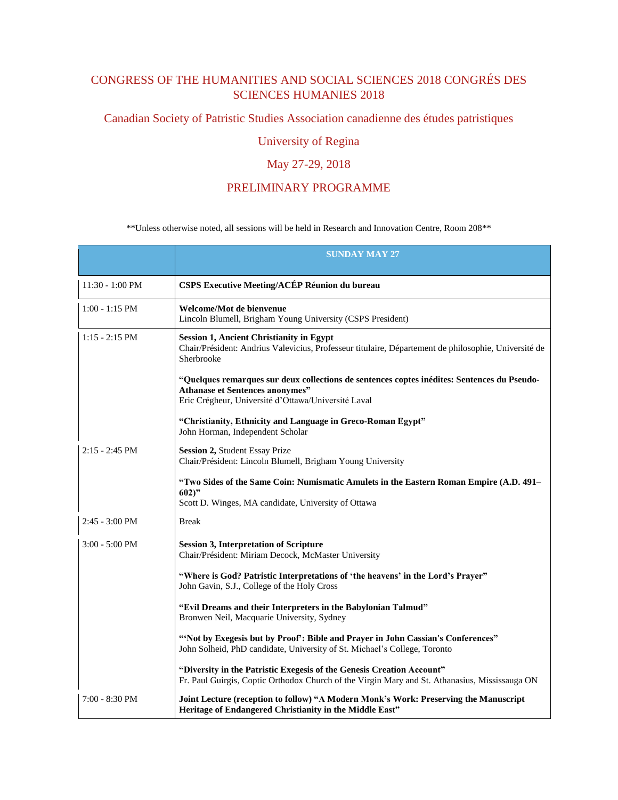# CONGRESS OF THE HUMANITIES AND SOCIAL SCIENCES 2018 CONGRÉS DES SCIENCES HUMANIES 2018

Canadian Society of Patristic Studies Association canadienne des études patristiques

# University of Regina

# May 27-29, 2018

### PRELIMINARY PROGRAMME

\*\*Unless otherwise noted, all sessions will be held in Research and Innovation Centre, Room 208\*\*

|                           | <b>SUNDAY MAY 27</b>                                                                                                                                                                         |
|---------------------------|----------------------------------------------------------------------------------------------------------------------------------------------------------------------------------------------|
| $11:30 - 1:00 \text{ PM}$ | <b>CSPS Executive Meeting/ACÉP Réunion du bureau</b>                                                                                                                                         |
| $1:00 - 1:15$ PM          | Welcome/Mot de bienvenue<br>Lincoln Blumell, Brigham Young University (CSPS President)                                                                                                       |
| $1:15 - 2:15$ PM          | <b>Session 1, Ancient Christianity in Egypt</b><br>Chair/Président: Andrius Valevicius, Professeur titulaire, Département de philosophie, Université de<br>Sherbrooke                        |
|                           | "Quelques remarques sur deux collections de sentences coptes inédites: Sentences du Pseudo-<br><b>Athanase et Sentences anonymes"</b><br>Eric Crégheur, Université d'Ottawa/Université Laval |
|                           | "Christianity, Ethnicity and Language in Greco-Roman Egypt"<br>John Horman, Independent Scholar                                                                                              |
| $2:15 - 2:45$ PM          | Session 2, Student Essay Prize<br>Chair/Président: Lincoln Blumell, Brigham Young University                                                                                                 |
|                           | "Two Sides of the Same Coin: Numismatic Amulets in the Eastern Roman Empire (A.D. 491–<br>$602$ "<br>Scott D. Winges, MA candidate, University of Ottawa                                     |
| $2:45 - 3:00 \text{ PM}$  | <b>Break</b>                                                                                                                                                                                 |
| $3:00 - 5:00$ PM          | <b>Session 3, Interpretation of Scripture</b><br>Chair/Président: Miriam Decock, McMaster University                                                                                         |
|                           | "Where is God? Patristic Interpretations of 'the heavens' in the Lord's Prayer"<br>John Gavin, S.J., College of the Holy Cross                                                               |
|                           | "Evil Dreams and their Interpreters in the Babylonian Talmud"<br>Bronwen Neil, Macquarie University, Sydney                                                                                  |
|                           | "Not by Exegesis but by Proof": Bible and Prayer in John Cassian's Conferences"<br>John Solheid, PhD candidate, University of St. Michael's College, Toronto                                 |
|                           | "Diversity in the Patristic Exegesis of the Genesis Creation Account"<br>Fr. Paul Guirgis, Coptic Orthodox Church of the Virgin Mary and St. Athanasius, Mississauga ON                      |
| 7:00 - 8:30 PM            | Joint Lecture (reception to follow) "A Modern Monk's Work: Preserving the Manuscript<br>Heritage of Endangered Christianity in the Middle East"                                              |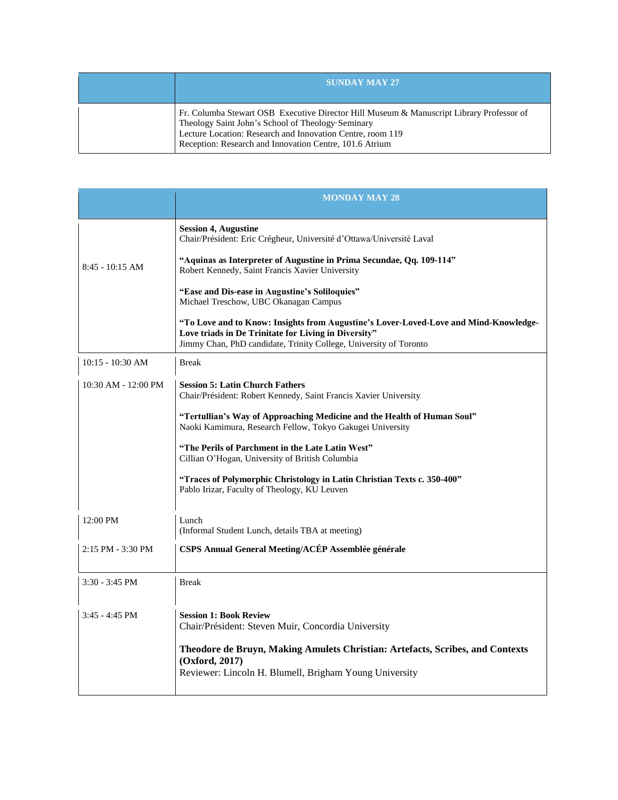| <b>SUNDAY MAY 27'</b>                                                                                                                                                                                                                                                  |
|------------------------------------------------------------------------------------------------------------------------------------------------------------------------------------------------------------------------------------------------------------------------|
| Fr. Columba Stewart OSB Executive Director Hill Museum & Manuscript Library Professor of<br>Theology Saint John's School of Theology Seminary<br>Lecture Location: Research and Innovation Centre, room 119<br>Reception: Research and Innovation Centre, 101.6 Atrium |

|                     | <b>MONDAY MAY 28</b>                                                                                                                                                                                              |
|---------------------|-------------------------------------------------------------------------------------------------------------------------------------------------------------------------------------------------------------------|
|                     | <b>Session 4, Augustine</b><br>Chair/Président: Eric Crégheur, Université d'Ottawa/Université Laval                                                                                                               |
| $8:45 - 10:15$ AM   | "Aquinas as Interpreter of Augustine in Prima Secundae, Qq. 109-114"<br>Robert Kennedy, Saint Francis Xavier University                                                                                           |
|                     | "Ease and Dis-ease in Augustine's Soliloquies"<br>Michael Treschow, UBC Okanagan Campus                                                                                                                           |
|                     | "To Love and to Know: Insights from Augustine's Lover-Loved-Love and Mind-Knowledge-<br>Love triads in De Trinitate for Living in Diversity"<br>Jimmy Chan, PhD candidate, Trinity College, University of Toronto |
| $10:15 - 10:30$ AM  | <b>Break</b>                                                                                                                                                                                                      |
| 10:30 AM - 12:00 PM | <b>Session 5: Latin Church Fathers</b><br>Chair/Président: Robert Kennedy, Saint Francis Xavier University                                                                                                        |
|                     | "Tertullian's Way of Approaching Medicine and the Health of Human Soul"<br>Naoki Kamimura, Research Fellow, Tokyo Gakugei University                                                                              |
|                     | "The Perils of Parchment in the Late Latin West"<br>Cillian O'Hogan, University of British Columbia                                                                                                               |
|                     | "Traces of Polymorphic Christology in Latin Christian Texts c. 350-400"<br>Pablo Irizar, Faculty of Theology, KU Leuven                                                                                           |
| 12:00 PM            | Lunch<br>(Informal Student Lunch, details TBA at meeting)                                                                                                                                                         |
| 2:15 PM - 3:30 PM   | CSPS Annual General Meeting/ACÉP Assemblée générale                                                                                                                                                               |
| $3:30 - 3:45$ PM    | <b>Break</b>                                                                                                                                                                                                      |
| $3:45 - 4:45$ PM    | <b>Session 1: Book Review</b><br>Chair/Président: Steven Muir, Concordia University                                                                                                                               |
|                     | Theodore de Bruyn, Making Amulets Christian: Artefacts, Scribes, and Contexts<br>(Oxford, 2017)<br>Reviewer: Lincoln H. Blumell, Brigham Young University                                                         |
|                     |                                                                                                                                                                                                                   |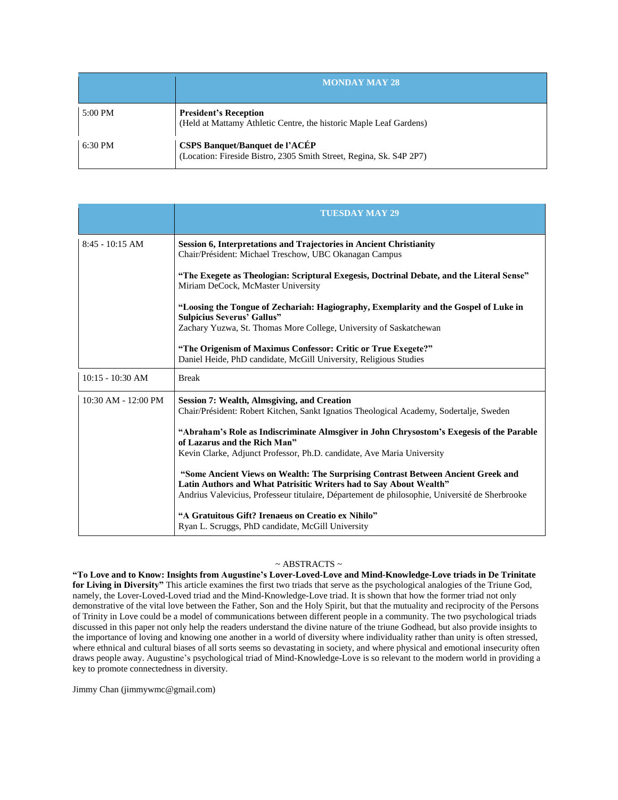|         | <b>MONDAY MAY 28.</b>                                                                                        |
|---------|--------------------------------------------------------------------------------------------------------------|
| 5:00 PM | <b>President's Reception</b><br>(Held at Mattamy Athletic Centre, the historic Maple Leaf Gardens)           |
| 6:30 PM | <b>CSPS Banquet/Banquet de l'ACÉP</b><br>(Location: Fireside Bistro, 2305 Smith Street, Regina, Sk. S4P 2P7) |

|                         | <b>TUESDAY MAY 29</b>                                                                                                                                  |
|-------------------------|--------------------------------------------------------------------------------------------------------------------------------------------------------|
| $8:45 - 10:15$ AM       | <b>Session 6, Interpretations and Trajectories in Ancient Christianity</b><br>Chair/Président: Michael Treschow, UBC Okanagan Campus                   |
|                         | "The Exegete as Theologian: Scriptural Exegesis, Doctrinal Debate, and the Literal Sense"<br>Miriam DeCock, McMaster University                        |
|                         | "Loosing the Tongue of Zechariah: Hagiography, Exemplarity and the Gospel of Luke in<br><b>Sulpicius Severus' Gallus"</b>                              |
|                         | Zachary Yuzwa, St. Thomas More College, University of Saskatchewan                                                                                     |
|                         | "The Origenism of Maximus Confessor: Critic or True Exegete?"<br>Daniel Heide, PhD candidate, McGill University, Religious Studies                     |
| $10:15 - 10:30$ AM      | <b>Break</b>                                                                                                                                           |
| $10:30$ AM - $12:00$ PM | <b>Session 7: Wealth, Almsgiving, and Creation</b>                                                                                                     |
|                         | Chair/Président: Robert Kitchen, Sankt Ignatios Theological Academy, Sodertalje, Sweden                                                                |
|                         | "Abraham's Role as Indiscriminate Almsgiver in John Chrysostom's Exegesis of the Parable<br>of Lazarus and the Rich Man"                               |
|                         | Kevin Clarke, Adjunct Professor, Ph.D. candidate, Ave Maria University                                                                                 |
|                         | "Some Ancient Views on Wealth: The Surprising Contrast Between Ancient Greek and<br>Latin Authors and What Patrisitic Writers had to Say About Wealth" |
|                         | Andrius Valevicius, Professeur titulaire, Département de philosophie, Université de Sherbrooke                                                         |
|                         | "A Gratuitous Gift? Irenaeus on Creatio ex Nihilo"<br>Ryan L. Scruggs, PhD candidate, McGill University                                                |

#### $\sim$  ABSTRACTS  $\sim$

**"To Love and to Know: Insights from Augustine's Lover-Loved-Love and Mind-Knowledge-Love triads in De Trinitate for Living in Diversity"** This article examines the first two triads that serve as the psychological analogies of the Triune God, namely, the Lover-Loved-Loved triad and the Mind-Knowledge-Love triad. It is shown that how the former triad not only demonstrative of the vital love between the Father, Son and the Holy Spirit, but that the mutuality and reciprocity of the Persons of Trinity in Love could be a model of communications between different people in a community. The two psychological triads discussed in this paper not only help the readers understand the divine nature of the triune Godhead, but also provide insights to the importance of loving and knowing one another in a world of diversity where individuality rather than unity is often stressed, where ethnical and cultural biases of all sorts seems so devastating in society, and where physical and emotional insecurity often draws people away. Augustine's psychological triad of Mind-Knowledge-Love is so relevant to the modern world in providing a key to promote connectedness in diversity.

Jimmy Chan (jimmywmc@gmail.com)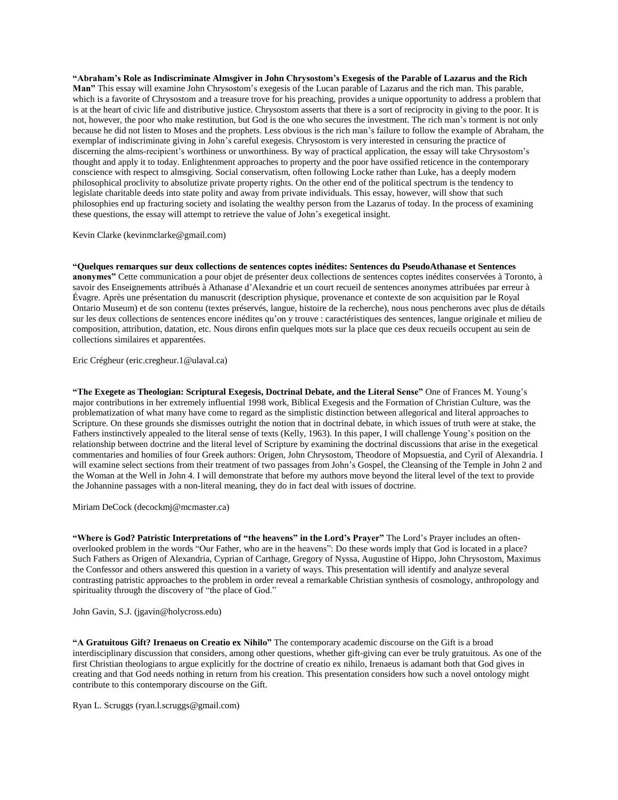"Abraham's Role as Indiscriminate Almsgiver in John Chrysostom's Exegesis of the Parable of Lazarus and the Rich **Man"** This essay will examine John Chrysostom's exegesis of the Lucan parable of Lazarus and the rich man. This parable, which is a favorite of Chrysostom and a treasure trove for his preaching, provides a unique opportunity to address a problem that is at the heart of civic life and distributive justice. Chrysostom asserts that there is a sort of reciprocity in giving to the poor. It is not, however, the poor who make restitution, but God is the one who secures the investment. The rich man's torment is not only because he did not listen to Moses and the prophets. Less obvious is the rich man's failure to follow the example of Abraham, the exemplar of indiscriminate giving in John's careful exegesis. Chrysostom is very interested in censuring the practice of discerning the alms-recipient's worthiness or unworthiness. By way of practical application, the essay will take Chrysostom's thought and apply it to today. Enlightenment approaches to property and the poor have ossified reticence in the contemporary conscience with respect to almsgiving. Social conservatism, often following Locke rather than Luke, has a deeply modern philosophical proclivity to absolutize private property rights. On the other end of the political spectrum is the tendency to legislate charitable deeds into state polity and away from private individuals. This essay, however, will show that such philosophies end up fracturing society and isolating the wealthy person from the Lazarus of today. In the process of examining these questions, the essay will attempt to retrieve the value of John's exegetical insight.

Kevin Clarke (kevinmclarke@gmail.com)

**"Quelques remarques sur deux collections de sentences coptes inédites: Sentences du PseudoAthanase et Sentences anonymes"** Cette communication a pour objet de présenter deux collections de sentences coptes inédites conservées à Toronto, à savoir des Enseignements attribués à Athanase d'Alexandrie et un court recueil de sentences anonymes attribuées par erreur à Évagre. Après une présentation du manuscrit (description physique, provenance et contexte de son acquisition par le Royal Ontario Museum) et de son contenu (textes préservés, langue, histoire de la recherche), nous nous pencherons avec plus de détails sur les deux collections de sentences encore inédites qu'on y trouve : caractéristiques des sentences, langue originale et milieu de composition, attribution, datation, etc. Nous dirons enfin quelques mots sur la place que ces deux recueils occupent au sein de collections similaires et apparentées.

Eric Crégheur (eric.cregheur.1@ulaval.ca)

**"The Exegete as Theologian: Scriptural Exegesis, Doctrinal Debate, and the Literal Sense"** One of Frances M. Young's major contributions in her extremely influential 1998 work, Biblical Exegesis and the Formation of Christian Culture, was the problematization of what many have come to regard as the simplistic distinction between allegorical and literal approaches to Scripture. On these grounds she dismisses outright the notion that in doctrinal debate, in which issues of truth were at stake, the Fathers instinctively appealed to the literal sense of texts (Kelly, 1963). In this paper, I will challenge Young's position on the relationship between doctrine and the literal level of Scripture by examining the doctrinal discussions that arise in the exegetical commentaries and homilies of four Greek authors: Origen, John Chrysostom, Theodore of Mopsuestia, and Cyril of Alexandria. I will examine select sections from their treatment of two passages from John's Gospel, the Cleansing of the Temple in John 2 and the Woman at the Well in John 4. I will demonstrate that before my authors move beyond the literal level of the text to provide the Johannine passages with a non-literal meaning, they do in fact deal with issues of doctrine.

Miriam DeCock (decockmj@mcmaster.ca)

**"Where is God? Patristic Interpretations of "the heavens" in the Lord's Prayer"** The Lord's Prayer includes an oftenoverlooked problem in the words "Our Father, who are in the heavens": Do these words imply that God is located in a place? Such Fathers as Origen of Alexandria, Cyprian of Carthage, Gregory of Nyssa, Augustine of Hippo, John Chrysostom, Maximus the Confessor and others answered this question in a variety of ways. This presentation will identify and analyze several contrasting patristic approaches to the problem in order reveal a remarkable Christian synthesis of cosmology, anthropology and spirituality through the discovery of "the place of God."

John Gavin, S.J. (jgavin@holycross.edu)

**"A Gratuitous Gift? Irenaeus on Creatio ex Nihilo"** The contemporary academic discourse on the Gift is a broad interdisciplinary discussion that considers, among other questions, whether gift-giving can ever be truly gratuitous. As one of the first Christian theologians to argue explicitly for the doctrine of creatio ex nihilo, Irenaeus is adamant both that God gives in creating and that God needs nothing in return from his creation. This presentation considers how such a novel ontology might contribute to this contemporary discourse on the Gift.

Ryan L. Scruggs (ryan.l.scruggs@gmail.com)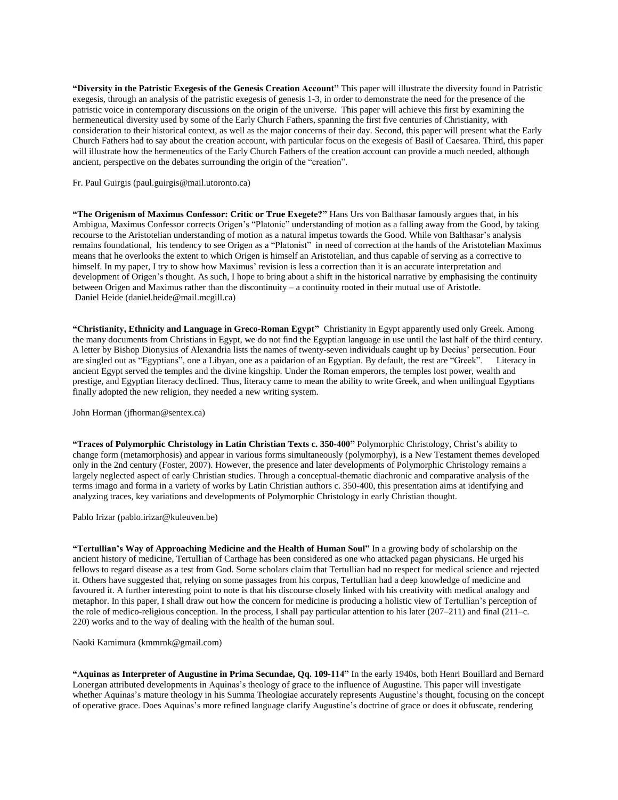**"Diversity in the Patristic Exegesis of the Genesis Creation Account"** This paper will illustrate the diversity found in Patristic exegesis, through an analysis of the patristic exegesis of genesis 1-3, in order to demonstrate the need for the presence of the patristic voice in contemporary discussions on the origin of the universe. This paper will achieve this first by examining the hermeneutical diversity used by some of the Early Church Fathers, spanning the first five centuries of Christianity, with consideration to their historical context, as well as the major concerns of their day. Second, this paper will present what the Early Church Fathers had to say about the creation account, with particular focus on the exegesis of Basil of Caesarea. Third, this paper will illustrate how the hermeneutics of the Early Church Fathers of the creation account can provide a much needed, although ancient, perspective on the debates surrounding the origin of the "creation".

Fr. Paul Guirgis (paul.guirgis@mail.utoronto.ca)

**"The Origenism of Maximus Confessor: Critic or True Exegete?"** Hans Urs von Balthasar famously argues that, in his Ambigua, Maximus Confessor corrects Origen's "Platonic" understanding of motion as a falling away from the Good, by taking recourse to the Aristotelian understanding of motion as a natural impetus towards the Good. While von Balthasar's analysis remains foundational, his tendency to see Origen as a "Platonist" in need of correction at the hands of the Aristotelian Maximus means that he overlooks the extent to which Origen is himself an Aristotelian, and thus capable of serving as a corrective to himself. In my paper, I try to show how Maximus' revision is less a correction than it is an accurate interpretation and development of Origen's thought. As such, I hope to bring about a shift in the historical narrative by emphasising the continuity between Origen and Maximus rather than the discontinuity – a continuity rooted in their mutual use of Aristotle. Daniel Heide (daniel.heide@mail.mcgill.ca)

**"Christianity, Ethnicity and Language in Greco-Roman Egypt"** Christianity in Egypt apparently used only Greek. Among the many documents from Christians in Egypt, we do not find the Egyptian language in use until the last half of the third century. A letter by Bishop Dionysius of Alexandria lists the names of twenty-seven individuals caught up by Decius' persecution. Four are singled out as "Egyptians", one a Libyan, one as a paidarion of an Egyptian. By default, the rest are "Greek". Literacy in ancient Egypt served the temples and the divine kingship. Under the Roman emperors, the temples lost power, wealth and prestige, and Egyptian literacy declined. Thus, literacy came to mean the ability to write Greek, and when unilingual Egyptians finally adopted the new religion, they needed a new writing system.

John Horman (jfhorman@sentex.ca)

**"Traces of Polymorphic Christology in Latin Christian Texts c. 350-400"** Polymorphic Christology, Christ's ability to change form (metamorphosis) and appear in various forms simultaneously (polymorphy), is a New Testament themes developed only in the 2nd century (Foster, 2007). However, the presence and later developments of Polymorphic Christology remains a largely neglected aspect of early Christian studies. Through a conceptual-thematic diachronic and comparative analysis of the terms imago and forma in a variety of works by Latin Christian authors c. 350-400, this presentation aims at identifying and analyzing traces, key variations and developments of Polymorphic Christology in early Christian thought.

Pablo Irizar (pablo.irizar@kuleuven.be)

**"Tertullian's Way of Approaching Medicine and the Health of Human Soul"** In a growing body of scholarship on the ancient history of medicine, Tertullian of Carthage has been considered as one who attacked pagan physicians. He urged his fellows to regard disease as a test from God. Some scholars claim that Tertullian had no respect for medical science and rejected it. Others have suggested that, relying on some passages from his corpus, Tertullian had a deep knowledge of medicine and favoured it. A further interesting point to note is that his discourse closely linked with his creativity with medical analogy and metaphor. In this paper, I shall draw out how the concern for medicine is producing a holistic view of Tertullian's perception of the role of medico-religious conception. In the process, I shall pay particular attention to his later (207–211) and final (211–c. 220) works and to the way of dealing with the health of the human soul.

Naoki Kamimura (kmmrnk@gmail.com)

**"Aquinas as Interpreter of Augustine in Prima Secundae, Qq. 109-114"** In the early 1940s, both Henri Bouillard and Bernard Lonergan attributed developments in Aquinas's theology of grace to the influence of Augustine. This paper will investigate whether Aquinas's mature theology in his Summa Theologiae accurately represents Augustine's thought, focusing on the concept of operative grace. Does Aquinas's more refined language clarify Augustine's doctrine of grace or does it obfuscate, rendering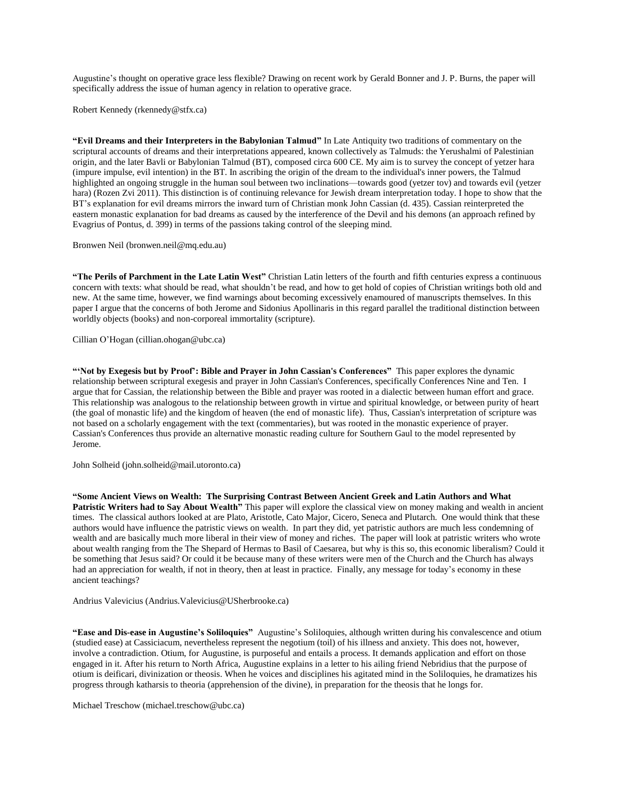Augustine's thought on operative grace less flexible? Drawing on recent work by Gerald Bonner and J. P. Burns, the paper will specifically address the issue of human agency in relation to operative grace.

Robert Kennedy (rkennedy@stfx.ca)

**"Evil Dreams and their Interpreters in the Babylonian Talmud"** In Late Antiquity two traditions of commentary on the scriptural accounts of dreams and their interpretations appeared, known collectively as Talmuds: the Yerushalmi of Palestinian origin, and the later Bavli or Babylonian Talmud (BT), composed circa 600 CE. My aim is to survey the concept of yetzer hara (impure impulse, evil intention) in the BT. In ascribing the origin of the dream to the individual's inner powers, the Talmud highlighted an ongoing struggle in the human soul between two inclinations—towards good (yetzer tov) and towards evil (yetzer hara) (Rozen Zvi 2011). This distinction is of continuing relevance for Jewish dream interpretation today. I hope to show that the BT's explanation for evil dreams mirrors the inward turn of Christian monk John Cassian (d. 435). Cassian reinterpreted the eastern monastic explanation for bad dreams as caused by the interference of the Devil and his demons (an approach refined by Evagrius of Pontus, d. 399) in terms of the passions taking control of the sleeping mind.

Bronwen Neil (bronwen.neil@mq.edu.au)

**"The Perils of Parchment in the Late Latin West"** Christian Latin letters of the fourth and fifth centuries express a continuous concern with texts: what should be read, what shouldn't be read, and how to get hold of copies of Christian writings both old and new. At the same time, however, we find warnings about becoming excessively enamoured of manuscripts themselves. In this paper I argue that the concerns of both Jerome and Sidonius Apollinaris in this regard parallel the traditional distinction between worldly objects (books) and non-corporeal immortality (scripture).

Cillian O'Hogan (cillian.ohogan@ubc.ca)

**"'Not by Exegesis but by Proof': Bible and Prayer in John Cassian's Conferences"** This paper explores the dynamic relationship between scriptural exegesis and prayer in John Cassian's Conferences, specifically Conferences Nine and Ten. I argue that for Cassian, the relationship between the Bible and prayer was rooted in a dialectic between human effort and grace. This relationship was analogous to the relationship between growth in virtue and spiritual knowledge, or between purity of heart (the goal of monastic life) and the kingdom of heaven (the end of monastic life). Thus, Cassian's interpretation of scripture was not based on a scholarly engagement with the text (commentaries), but was rooted in the monastic experience of prayer. Cassian's Conferences thus provide an alternative monastic reading culture for Southern Gaul to the model represented by Jerome.

John Solheid (john.solheid@mail.utoronto.ca)

**"Some Ancient Views on Wealth: The Surprising Contrast Between Ancient Greek and Latin Authors and What Patristic Writers had to Say About Wealth"** This paper will explore the classical view on money making and wealth in ancient times. The classical authors looked at are Plato, Aristotle, Cato Major, Cicero, Seneca and Plutarch. One would think that these authors would have influence the patristic views on wealth. In part they did, yet patristic authors are much less condemning of wealth and are basically much more liberal in their view of money and riches. The paper will look at patristic writers who wrote about wealth ranging from the The Shepard of Hermas to Basil of Caesarea, but why is this so, this economic liberalism? Could it be something that Jesus said? Or could it be because many of these writers were men of the Church and the Church has always had an appreciation for wealth, if not in theory, then at least in practice. Finally, any message for today's economy in these ancient teachings?

Andrius Valevicius (Andrius.Valevicius@USherbrooke.ca)

**"Ease and Dis-ease in Augustine's Soliloquies"** Augustine's Soliloquies, although written during his convalescence and otium (studied ease) at Cassiciacum, nevertheless represent the negotium (toil) of his illness and anxiety. This does not, however, involve a contradiction. Otium, for Augustine, is purposeful and entails a process. It demands application and effort on those engaged in it. After his return to North Africa, Augustine explains in a letter to his ailing friend Nebridius that the purpose of otium is deificari, divinization or theosis. When he voices and disciplines his agitated mind in the Soliloquies, he dramatizes his progress through katharsis to theoria (apprehension of the divine), in preparation for the theosis that he longs for.

Michael Treschow (michael.treschow@ubc.ca)